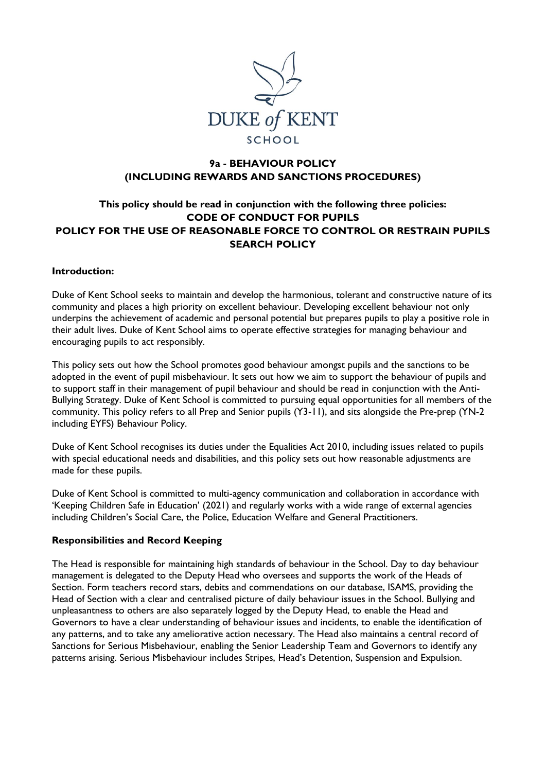

# **9a - BEHAVIOUR POLICY (INCLUDING REWARDS AND SANCTIONS PROCEDURES)**

# **This policy should be read in conjunction with the following three policies: CODE OF CONDUCT FOR PUPILS POLICY FOR THE USE OF REASONABLE FORCE TO CONTROL OR RESTRAIN PUPILS SEARCH POLICY**

#### **Introduction:**

Duke of Kent School seeks to maintain and develop the harmonious, tolerant and constructive nature of its community and places a high priority on excellent behaviour. Developing excellent behaviour not only underpins the achievement of academic and personal potential but prepares pupils to play a positive role in their adult lives. Duke of Kent School aims to operate effective strategies for managing behaviour and encouraging pupils to act responsibly.

This policy sets out how the School promotes good behaviour amongst pupils and the sanctions to be adopted in the event of pupil misbehaviour. It sets out how we aim to support the behaviour of pupils and to support staff in their management of pupil behaviour and should be read in conjunction with the Anti-Bullying Strategy. Duke of Kent School is committed to pursuing equal opportunities for all members of the community. This policy refers to all Prep and Senior pupils (Y3-11), and sits alongside the Pre-prep (YN-2 including EYFS) Behaviour Policy.

Duke of Kent School recognises its duties under the Equalities Act 2010, including issues related to pupils with special educational needs and disabilities, and this policy sets out how reasonable adjustments are made for these pupils.

Duke of Kent School is committed to multi-agency communication and collaboration in accordance with 'Keeping Children Safe in Education' (2021) and regularly works with a wide range of external agencies including Children's Social Care, the Police, Education Welfare and General Practitioners.

#### **Responsibilities and Record Keeping**

The Head is responsible for maintaining high standards of behaviour in the School. Day to day behaviour management is delegated to the Deputy Head who oversees and supports the work of the Heads of Section. Form teachers record stars, debits and commendations on our database, ISAMS, providing the Head of Section with a clear and centralised picture of daily behaviour issues in the School. Bullying and unpleasantness to others are also separately logged by the Deputy Head, to enable the Head and Governors to have a clear understanding of behaviour issues and incidents, to enable the identification of any patterns, and to take any ameliorative action necessary. The Head also maintains a central record of Sanctions for Serious Misbehaviour, enabling the Senior Leadership Team and Governors to identify any patterns arising. Serious Misbehaviour includes Stripes, Head's Detention, Suspension and Expulsion.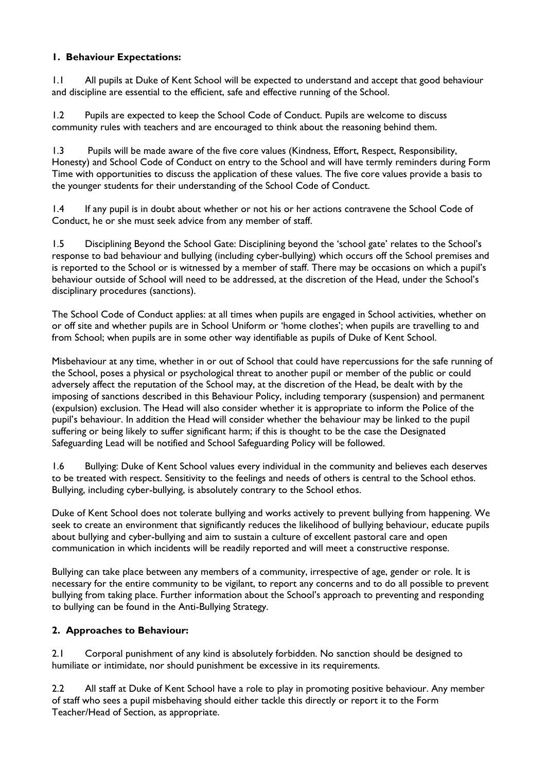# **1. Behaviour Expectations:**

1.1 All pupils at Duke of Kent School will be expected to understand and accept that good behaviour and discipline are essential to the efficient, safe and effective running of the School.

1.2 Pupils are expected to keep the School Code of Conduct. Pupils are welcome to discuss community rules with teachers and are encouraged to think about the reasoning behind them.

1.3 Pupils will be made aware of the five core values (Kindness, Effort, Respect, Responsibility, Honesty) and School Code of Conduct on entry to the School and will have termly reminders during Form Time with opportunities to discuss the application of these values. The five core values provide a basis to the younger students for their understanding of the School Code of Conduct.

1.4 If any pupil is in doubt about whether or not his or her actions contravene the School Code of Conduct, he or she must seek advice from any member of staff.

1.5 Disciplining Beyond the School Gate: Disciplining beyond the 'school gate' relates to the School's response to bad behaviour and bullying (including cyber-bullying) which occurs off the School premises and is reported to the School or is witnessed by a member of staff. There may be occasions on which a pupil's behaviour outside of School will need to be addressed, at the discretion of the Head, under the School's disciplinary procedures (sanctions).

The School Code of Conduct applies: at all times when pupils are engaged in School activities, whether on or off site and whether pupils are in School Uniform or 'home clothes'; when pupils are travelling to and from School; when pupils are in some other way identifiable as pupils of Duke of Kent School.

Misbehaviour at any time, whether in or out of School that could have repercussions for the safe running of the School, poses a physical or psychological threat to another pupil or member of the public or could adversely affect the reputation of the School may, at the discretion of the Head, be dealt with by the imposing of sanctions described in this Behaviour Policy, including temporary (suspension) and permanent (expulsion) exclusion. The Head will also consider whether it is appropriate to inform the Police of the pupil's behaviour. In addition the Head will consider whether the behaviour may be linked to the pupil suffering or being likely to suffer significant harm; if this is thought to be the case the Designated Safeguarding Lead will be notified and School Safeguarding Policy will be followed.

1.6 Bullying: Duke of Kent School values every individual in the community and believes each deserves to be treated with respect. Sensitivity to the feelings and needs of others is central to the School ethos. Bullying, including cyber-bullying, is absolutely contrary to the School ethos.

Duke of Kent School does not tolerate bullying and works actively to prevent bullying from happening. We seek to create an environment that significantly reduces the likelihood of bullying behaviour, educate pupils about bullying and cyber-bullying and aim to sustain a culture of excellent pastoral care and open communication in which incidents will be readily reported and will meet a constructive response.

Bullying can take place between any members of a community, irrespective of age, gender or role. It is necessary for the entire community to be vigilant, to report any concerns and to do all possible to prevent bullying from taking place. Further information about the School's approach to preventing and responding to bullying can be found in the Anti-Bullying Strategy.

# **2. Approaches to Behaviour:**

2.1 Corporal punishment of any kind is absolutely forbidden. No sanction should be designed to humiliate or intimidate, nor should punishment be excessive in its requirements.

2.2 All staff at Duke of Kent School have a role to play in promoting positive behaviour. Any member of staff who sees a pupil misbehaving should either tackle this directly or report it to the Form Teacher/Head of Section, as appropriate.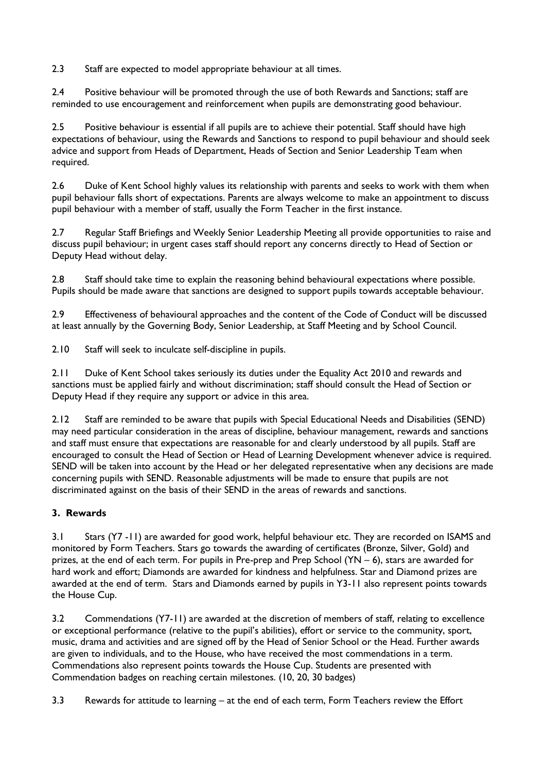2.3 Staff are expected to model appropriate behaviour at all times.

2.4 Positive behaviour will be promoted through the use of both Rewards and Sanctions; staff are reminded to use encouragement and reinforcement when pupils are demonstrating good behaviour.

2.5 Positive behaviour is essential if all pupils are to achieve their potential. Staff should have high expectations of behaviour, using the Rewards and Sanctions to respond to pupil behaviour and should seek advice and support from Heads of Department, Heads of Section and Senior Leadership Team when required.

2.6 Duke of Kent School highly values its relationship with parents and seeks to work with them when pupil behaviour falls short of expectations. Parents are always welcome to make an appointment to discuss pupil behaviour with a member of staff, usually the Form Teacher in the first instance.

2.7 Regular Staff Briefings and Weekly Senior Leadership Meeting all provide opportunities to raise and discuss pupil behaviour; in urgent cases staff should report any concerns directly to Head of Section or Deputy Head without delay.

2.8 Staff should take time to explain the reasoning behind behavioural expectations where possible. Pupils should be made aware that sanctions are designed to support pupils towards acceptable behaviour.

2.9 Effectiveness of behavioural approaches and the content of the Code of Conduct will be discussed at least annually by the Governing Body, Senior Leadership, at Staff Meeting and by School Council.

2.10 Staff will seek to inculcate self-discipline in pupils.

2.11 Duke of Kent School takes seriously its duties under the Equality Act 2010 and rewards and sanctions must be applied fairly and without discrimination; staff should consult the Head of Section or Deputy Head if they require any support or advice in this area.

2.12 Staff are reminded to be aware that pupils with Special Educational Needs and Disabilities (SEND) may need particular consideration in the areas of discipline, behaviour management, rewards and sanctions and staff must ensure that expectations are reasonable for and clearly understood by all pupils. Staff are encouraged to consult the Head of Section or Head of Learning Development whenever advice is required. SEND will be taken into account by the Head or her delegated representative when any decisions are made concerning pupils with SEND. Reasonable adjustments will be made to ensure that pupils are not discriminated against on the basis of their SEND in the areas of rewards and sanctions.

# **3. Rewards**

3.1 Stars (Y7 -11) are awarded for good work, helpful behaviour etc. They are recorded on ISAMS and monitored by Form Teachers. Stars go towards the awarding of certificates (Bronze, Silver, Gold) and prizes, at the end of each term. For pupils in Pre-prep and Prep School (YN – 6), stars are awarded for hard work and effort; Diamonds are awarded for kindness and helpfulness. Star and Diamond prizes are awarded at the end of term. Stars and Diamonds earned by pupils in Y3-11 also represent points towards the House Cup.

3.2 Commendations (Y7-11) are awarded at the discretion of members of staff, relating to excellence or exceptional performance (relative to the pupil's abilities), effort or service to the community, sport, music, drama and activities and are signed off by the Head of Senior School or the Head. Further awards are given to individuals, and to the House, who have received the most commendations in a term. Commendations also represent points towards the House Cup. Students are presented with Commendation badges on reaching certain milestones. (10, 20, 30 badges)

3.3 Rewards for attitude to learning – at the end of each term, Form Teachers review the Effort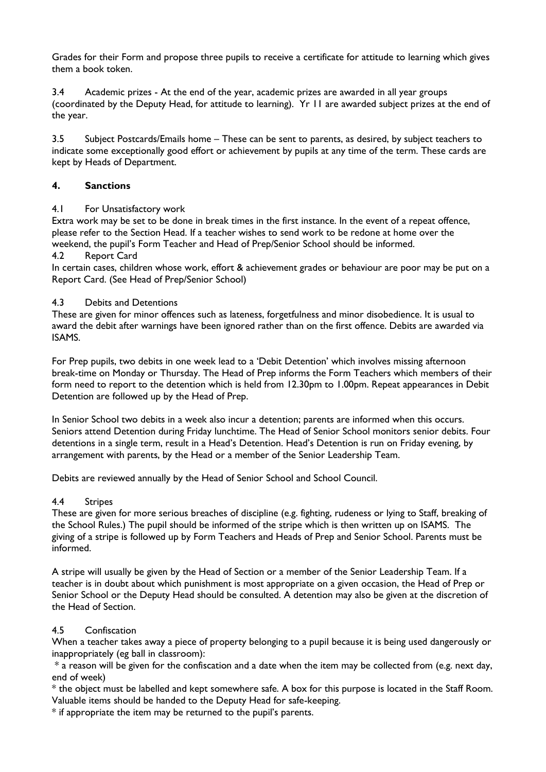Grades for their Form and propose three pupils to receive a certificate for attitude to learning which gives them a book token.

3.4 Academic prizes - At the end of the year, academic prizes are awarded in all year groups (coordinated by the Deputy Head, for attitude to learning). Yr 11 are awarded subject prizes at the end of the year.

3.5 Subject Postcards/Emails home – These can be sent to parents, as desired, by subject teachers to indicate some exceptionally good effort or achievement by pupils at any time of the term. These cards are kept by Heads of Department.

## **4. Sanctions**

#### 4.1 For Unsatisfactory work

Extra work may be set to be done in break times in the first instance. In the event of a repeat offence, please refer to the Section Head. If a teacher wishes to send work to be redone at home over the weekend, the pupil's Form Teacher and Head of Prep/Senior School should be informed.

#### 4.2 Report Card

In certain cases, children whose work, effort & achievement grades or behaviour are poor may be put on a Report Card. (See Head of Prep/Senior School)

#### 4.3 Debits and Detentions

These are given for minor offences such as lateness, forgetfulness and minor disobedience. It is usual to award the debit after warnings have been ignored rather than on the first offence. Debits are awarded via ISAMS.

For Prep pupils, two debits in one week lead to a 'Debit Detention' which involves missing afternoon break-time on Monday or Thursday. The Head of Prep informs the Form Teachers which members of their form need to report to the detention which is held from 12.30pm to 1.00pm. Repeat appearances in Debit Detention are followed up by the Head of Prep.

In Senior School two debits in a week also incur a detention; parents are informed when this occurs. Seniors attend Detention during Friday lunchtime. The Head of Senior School monitors senior debits. Four detentions in a single term, result in a Head's Detention. Head's Detention is run on Friday evening, by arrangement with parents, by the Head or a member of the Senior Leadership Team.

Debits are reviewed annually by the Head of Senior School and School Council.

## 4.4 Stripes

These are given for more serious breaches of discipline (e.g. fighting, rudeness or lying to Staff, breaking of the School Rules.) The pupil should be informed of the stripe which is then written up on ISAMS. The giving of a stripe is followed up by Form Teachers and Heads of Prep and Senior School. Parents must be informed.

A stripe will usually be given by the Head of Section or a member of the Senior Leadership Team. If a teacher is in doubt about which punishment is most appropriate on a given occasion, the Head of Prep or Senior School or the Deputy Head should be consulted. A detention may also be given at the discretion of the Head of Section.

## 4.5 Confiscation

When a teacher takes away a piece of property belonging to a pupil because it is being used dangerously or inappropriately (eg ball in classroom):

\* a reason will be given for the confiscation and a date when the item may be collected from (e.g. next day, end of week)

\* the object must be labelled and kept somewhere safe. A box for this purpose is located in the Staff Room. Valuable items should be handed to the Deputy Head for safe-keeping.

\* if appropriate the item may be returned to the pupil's parents.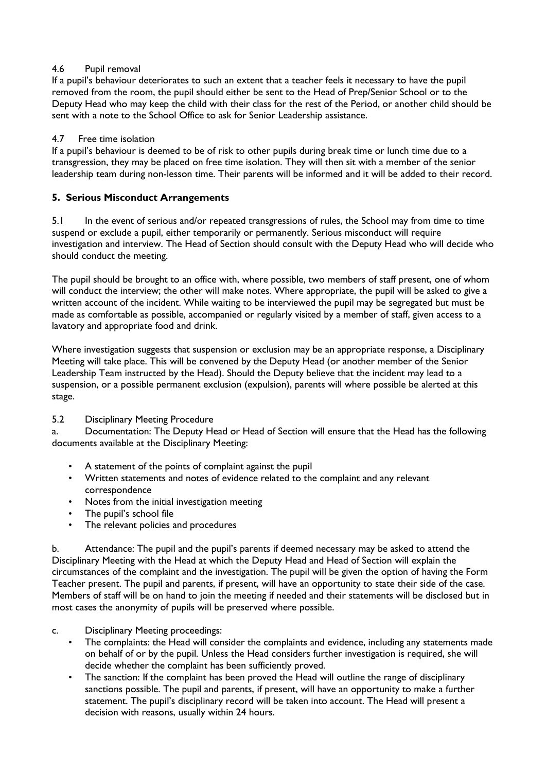## 4.6 Pupil removal

If a pupil's behaviour deteriorates to such an extent that a teacher feels it necessary to have the pupil removed from the room, the pupil should either be sent to the Head of Prep/Senior School or to the Deputy Head who may keep the child with their class for the rest of the Period, or another child should be sent with a note to the School Office to ask for Senior Leadership assistance.

# 4.7 Free time isolation

If a pupil's behaviour is deemed to be of risk to other pupils during break time or lunch time due to a transgression, they may be placed on free time isolation. They will then sit with a member of the senior leadership team during non-lesson time. Their parents will be informed and it will be added to their record.

# **5. Serious Misconduct Arrangements**

5.1 In the event of serious and/or repeated transgressions of rules, the School may from time to time suspend or exclude a pupil, either temporarily or permanently. Serious misconduct will require investigation and interview. The Head of Section should consult with the Deputy Head who will decide who should conduct the meeting.

The pupil should be brought to an office with, where possible, two members of staff present, one of whom will conduct the interview; the other will make notes. Where appropriate, the pupil will be asked to give a written account of the incident. While waiting to be interviewed the pupil may be segregated but must be made as comfortable as possible, accompanied or regularly visited by a member of staff, given access to a lavatory and appropriate food and drink.

Where investigation suggests that suspension or exclusion may be an appropriate response, a Disciplinary Meeting will take place. This will be convened by the Deputy Head (or another member of the Senior Leadership Team instructed by the Head). Should the Deputy believe that the incident may lead to a suspension, or a possible permanent exclusion (expulsion), parents will where possible be alerted at this stage.

## 5.2 Disciplinary Meeting Procedure

a. Documentation: The Deputy Head or Head of Section will ensure that the Head has the following documents available at the Disciplinary Meeting:

- A statement of the points of complaint against the pupil
- Written statements and notes of evidence related to the complaint and any relevant correspondence
- Notes from the initial investigation meeting
- The pupil's school file
- The relevant policies and procedures

b. Attendance: The pupil and the pupil's parents if deemed necessary may be asked to attend the Disciplinary Meeting with the Head at which the Deputy Head and Head of Section will explain the circumstances of the complaint and the investigation. The pupil will be given the option of having the Form Teacher present. The pupil and parents, if present, will have an opportunity to state their side of the case. Members of staff will be on hand to join the meeting if needed and their statements will be disclosed but in most cases the anonymity of pupils will be preserved where possible.

- c. Disciplinary Meeting proceedings:
	- The complaints: the Head will consider the complaints and evidence, including any statements made on behalf of or by the pupil. Unless the Head considers further investigation is required, she will decide whether the complaint has been sufficiently proved.
	- The sanction: If the complaint has been proved the Head will outline the range of disciplinary sanctions possible. The pupil and parents, if present, will have an opportunity to make a further statement. The pupil's disciplinary record will be taken into account. The Head will present a decision with reasons, usually within 24 hours.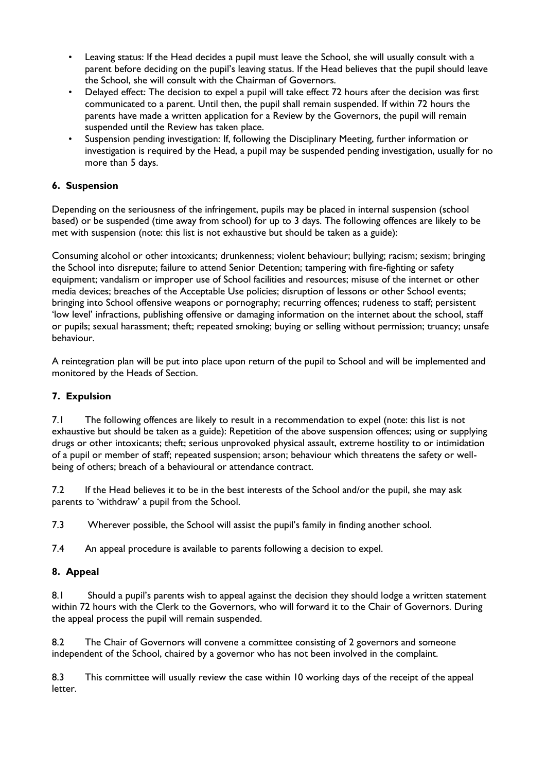- Leaving status: If the Head decides a pupil must leave the School, she will usually consult with a parent before deciding on the pupil's leaving status. If the Head believes that the pupil should leave the School, she will consult with the Chairman of Governors.
- Delayed effect: The decision to expel a pupil will take effect 72 hours after the decision was first communicated to a parent. Until then, the pupil shall remain suspended. If within 72 hours the parents have made a written application for a Review by the Governors, the pupil will remain suspended until the Review has taken place.
- Suspension pending investigation: If, following the Disciplinary Meeting, further information or investigation is required by the Head, a pupil may be suspended pending investigation, usually for no more than 5 days.

# **6. Suspension**

Depending on the seriousness of the infringement, pupils may be placed in internal suspension (school based) or be suspended (time away from school) for up to 3 days. The following offences are likely to be met with suspension (note: this list is not exhaustive but should be taken as a guide):

Consuming alcohol or other intoxicants; drunkenness; violent behaviour; bullying; racism; sexism; bringing the School into disrepute; failure to attend Senior Detention; tampering with fire-fighting or safety equipment; vandalism or improper use of School facilities and resources; misuse of the internet or other media devices; breaches of the Acceptable Use policies; disruption of lessons or other School events; bringing into School offensive weapons or pornography; recurring offences; rudeness to staff; persistent 'low level' infractions, publishing offensive or damaging information on the internet about the school, staff or pupils; sexual harassment; theft; repeated smoking; buying or selling without permission; truancy; unsafe behaviour.

A reintegration plan will be put into place upon return of the pupil to School and will be implemented and monitored by the Heads of Section.

## **7. Expulsion**

7.1 The following offences are likely to result in a recommendation to expel (note: this list is not exhaustive but should be taken as a guide): Repetition of the above suspension offences; using or supplying drugs or other intoxicants; theft; serious unprovoked physical assault, extreme hostility to or intimidation of a pupil or member of staff; repeated suspension; arson; behaviour which threatens the safety or wellbeing of others; breach of a behavioural or attendance contract.

7.2 If the Head believes it to be in the best interests of the School and/or the pupil, she may ask parents to 'withdraw' a pupil from the School.

7.3 Wherever possible, the School will assist the pupil's family in finding another school.

7.4 An appeal procedure is available to parents following a decision to expel.

## **8. Appeal**

8.1 Should a pupil's parents wish to appeal against the decision they should lodge a written statement within 72 hours with the Clerk to the Governors, who will forward it to the Chair of Governors. During the appeal process the pupil will remain suspended.

8.2 The Chair of Governors will convene a committee consisting of 2 governors and someone independent of the School, chaired by a governor who has not been involved in the complaint.

8.3 This committee will usually review the case within 10 working days of the receipt of the appeal letter.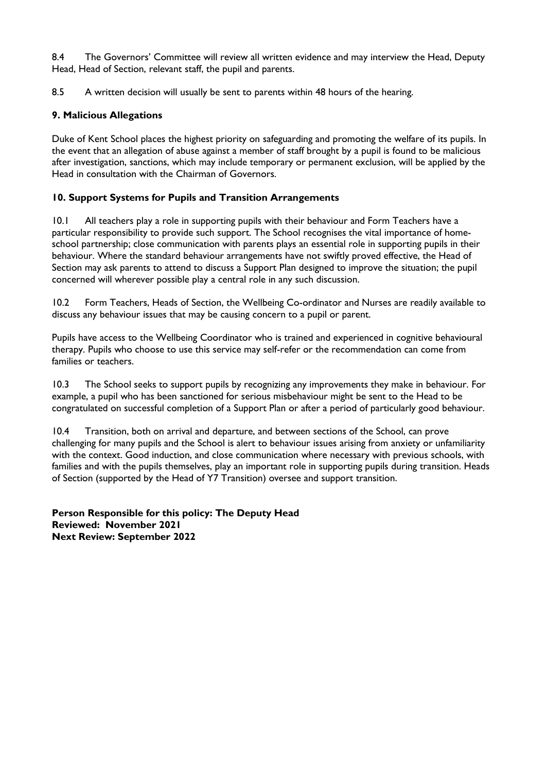8.4 The Governors' Committee will review all written evidence and may interview the Head, Deputy Head, Head of Section, relevant staff, the pupil and parents.

8.5 A written decision will usually be sent to parents within 48 hours of the hearing.

# **9. Malicious Allegations**

Duke of Kent School places the highest priority on safeguarding and promoting the welfare of its pupils. In the event that an allegation of abuse against a member of staff brought by a pupil is found to be malicious after investigation, sanctions, which may include temporary or permanent exclusion, will be applied by the Head in consultation with the Chairman of Governors.

# **10. Support Systems for Pupils and Transition Arrangements**

10.1 All teachers play a role in supporting pupils with their behaviour and Form Teachers have a particular responsibility to provide such support. The School recognises the vital importance of homeschool partnership; close communication with parents plays an essential role in supporting pupils in their behaviour. Where the standard behaviour arrangements have not swiftly proved effective, the Head of Section may ask parents to attend to discuss a Support Plan designed to improve the situation; the pupil concerned will wherever possible play a central role in any such discussion.

10.2 Form Teachers, Heads of Section, the Wellbeing Co-ordinator and Nurses are readily available to discuss any behaviour issues that may be causing concern to a pupil or parent.

Pupils have access to the Wellbeing Coordinator who is trained and experienced in cognitive behavioural therapy. Pupils who choose to use this service may self-refer or the recommendation can come from families or teachers.

10.3 The School seeks to support pupils by recognizing any improvements they make in behaviour. For example, a pupil who has been sanctioned for serious misbehaviour might be sent to the Head to be congratulated on successful completion of a Support Plan or after a period of particularly good behaviour.

10.4 Transition, both on arrival and departure, and between sections of the School, can prove challenging for many pupils and the School is alert to behaviour issues arising from anxiety or unfamiliarity with the context. Good induction, and close communication where necessary with previous schools, with families and with the pupils themselves, play an important role in supporting pupils during transition. Heads of Section (supported by the Head of Y7 Transition) oversee and support transition.

**Person Responsible for this policy: The Deputy Head Reviewed: November 2021 Next Review: September 2022**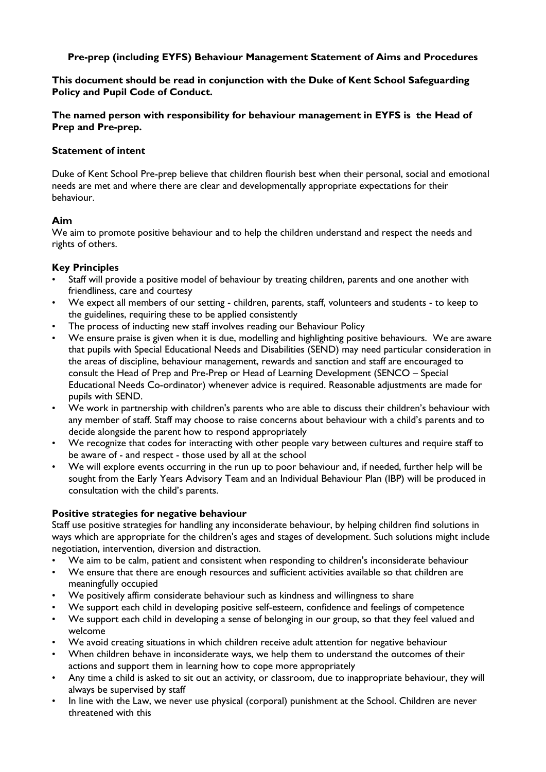## **Pre-prep (including EYFS) Behaviour Management Statement of Aims and Procedures**

**This document should be read in conjunction with the Duke of Kent School Safeguarding Policy and Pupil Code of Conduct.**

**The named person with responsibility for behaviour management in EYFS is the Head of Prep and Pre-prep.** 

#### **Statement of intent**

Duke of Kent School Pre-prep believe that children flourish best when their personal, social and emotional needs are met and where there are clear and developmentally appropriate expectations for their behaviour.

## **Aim**

We aim to promote positive behaviour and to help the children understand and respect the needs and rights of others.

## **Key Principles**

- Staff will provide a positive model of behaviour by treating children, parents and one another with friendliness, care and courtesy
- We expect all members of our setting children, parents, staff, volunteers and students to keep to the guidelines, requiring these to be applied consistently
- The process of inducting new staff involves reading our Behaviour Policy
- We ensure praise is given when it is due, modelling and highlighting positive behaviours. We are aware that pupils with Special Educational Needs and Disabilities (SEND) may need particular consideration in the areas of discipline, behaviour management, rewards and sanction and staff are encouraged to consult the Head of Prep and Pre-Prep or Head of Learning Development (SENCO – Special Educational Needs Co-ordinator) whenever advice is required. Reasonable adjustments are made for pupils with SEND.
- We work in partnership with children's parents who are able to discuss their children's behaviour with any member of staff. Staff may choose to raise concerns about behaviour with a child's parents and to decide alongside the parent how to respond appropriately
- We recognize that codes for interacting with other people vary between cultures and require staff to be aware of - and respect - those used by all at the school
- We will explore events occurring in the run up to poor behaviour and, if needed, further help will be sought from the Early Years Advisory Team and an Individual Behaviour Plan (IBP) will be produced in consultation with the child's parents.

## **Positive strategies for negative behaviour**

Staff use positive strategies for handling any inconsiderate behaviour, by helping children find solutions in ways which are appropriate for the children's ages and stages of development. Such solutions might include negotiation, intervention, diversion and distraction.

- We aim to be calm, patient and consistent when responding to children's inconsiderate behaviour
- We ensure that there are enough resources and sufficient activities available so that children are meaningfully occupied
- We positively affirm considerate behaviour such as kindness and willingness to share
- We support each child in developing positive self-esteem, confidence and feelings of competence
- We support each child in developing a sense of belonging in our group, so that they feel valued and welcome
- We avoid creating situations in which children receive adult attention for negative behaviour
- When children behave in inconsiderate ways, we help them to understand the outcomes of their actions and support them in learning how to cope more appropriately
- Any time a child is asked to sit out an activity, or classroom, due to inappropriate behaviour, they will always be supervised by staff
- In line with the Law, we never use physical (corporal) punishment at the School. Children are never threatened with this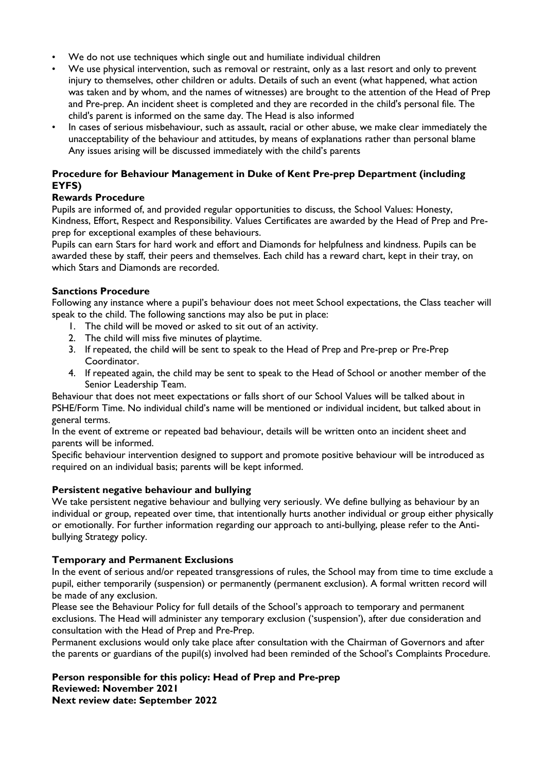- We do not use techniques which single out and humiliate individual children
- We use physical intervention, such as removal or restraint, only as a last resort and only to prevent injury to themselves, other children or adults. Details of such an event (what happened, what action was taken and by whom, and the names of witnesses) are brought to the attention of the Head of Prep and Pre-prep. An incident sheet is completed and they are recorded in the child's personal file. The child's parent is informed on the same day. The Head is also informed
- In cases of serious misbehaviour, such as assault, racial or other abuse, we make clear immediately the unacceptability of the behaviour and attitudes, by means of explanations rather than personal blame Any issues arising will be discussed immediately with the child's parents

## **Procedure for Behaviour Management in Duke of Kent Pre-prep Department (including EYFS)**

## **Rewards Procedure**

Pupils are informed of, and provided regular opportunities to discuss, the School Values: Honesty, Kindness, Effort, Respect and Responsibility. Values Certificates are awarded by the Head of Prep and Preprep for exceptional examples of these behaviours.

Pupils can earn Stars for hard work and effort and Diamonds for helpfulness and kindness. Pupils can be awarded these by staff, their peers and themselves. Each child has a reward chart, kept in their tray, on which Stars and Diamonds are recorded

# **Sanctions Procedure**

Following any instance where a pupil's behaviour does not meet School expectations, the Class teacher will speak to the child. The following sanctions may also be put in place:

- 1. The child will be moved or asked to sit out of an activity.
- 2. The child will miss five minutes of playtime.
- 3. If repeated, the child will be sent to speak to the Head of Prep and Pre-prep or Pre-Prep Coordinator.
- 4. If repeated again, the child may be sent to speak to the Head of School or another member of the Senior Leadership Team.

Behaviour that does not meet expectations or falls short of our School Values will be talked about in PSHE/Form Time. No individual child's name will be mentioned or individual incident, but talked about in general terms.

In the event of extreme or repeated bad behaviour, details will be written onto an incident sheet and parents will be informed.

Specific behaviour intervention designed to support and promote positive behaviour will be introduced as required on an individual basis; parents will be kept informed.

## **Persistent negative behaviour and bullying**

We take persistent negative behaviour and bullying very seriously. We define bullying as behaviour by an individual or group, repeated over time, that intentionally hurts another individual or group either physically or emotionally. For further information regarding our approach to anti-bullying, please refer to the Antibullying Strategy policy.

## **Temporary and Permanent Exclusions**

In the event of serious and/or repeated transgressions of rules, the School may from time to time exclude a pupil, either temporarily (suspension) or permanently (permanent exclusion). A formal written record will be made of any exclusion.

Please see the Behaviour Policy for full details of the School's approach to temporary and permanent exclusions. The Head will administer any temporary exclusion ('suspension'), after due consideration and consultation with the Head of Prep and Pre-Prep.

Permanent exclusions would only take place after consultation with the Chairman of Governors and after the parents or guardians of the pupil(s) involved had been reminded of the School's Complaints Procedure.

#### **Person responsible for this policy: Head of Prep and Pre-prep Reviewed: November 2021 Next review date: September 2022**